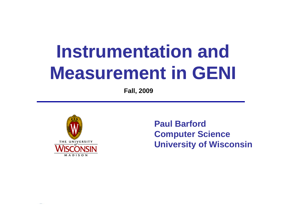# **Instrumentation and Measurement in GENI**

**Fall, 2009**



**Paul Barford Computer Science University of Wisconsin**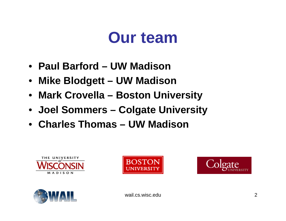### **Our team**

- **Paul Barford – UW Madison**
- **Mike Blodgett – UW Madison**
- **Mark Crovella – Boston University**
- **Joel Sommers – Colgate University**
- **Charles Thomas Thomas – UW Madison**









wail.cs.wisc.edu 2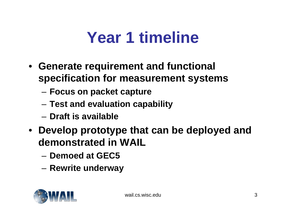#### **Year 1 timeline**

- **Generate requirement and functional specification for measurement systems**
	- –**Focus on packet capture**
	- –**Test and evaluation capability**
	- **Draft is available**
- **Develop prototype that can be deployed and demonstrated in WAIL** 
	- **Demoed at GEC5**
	- **Rewrite underway**

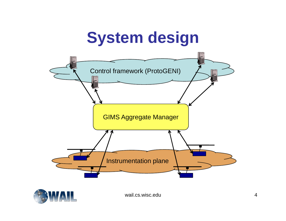## **System design**





wail.cs.wisc.edu 4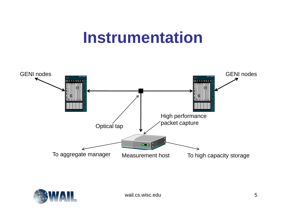### **Instrumentation**



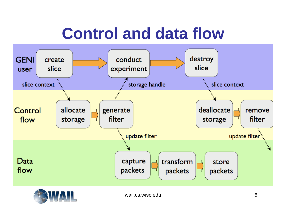## **Control and data flow**